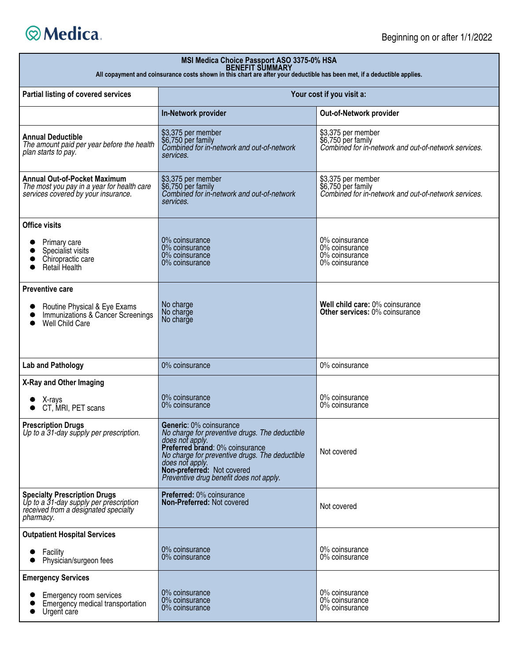

| MSI Medica Choice Passport ASO 3375-0% HSA<br>BENEFIT SUMMARY<br>All copayment and coinsurance costs shown in this chart are after your deductible has been met, if a deductible applies. |                                                                                                                                                                                                                                                                               |                                                                                                  |  |
|-------------------------------------------------------------------------------------------------------------------------------------------------------------------------------------------|-------------------------------------------------------------------------------------------------------------------------------------------------------------------------------------------------------------------------------------------------------------------------------|--------------------------------------------------------------------------------------------------|--|
| Partial listing of covered services                                                                                                                                                       | Your cost if you visit a:                                                                                                                                                                                                                                                     |                                                                                                  |  |
|                                                                                                                                                                                           | In-Network provider                                                                                                                                                                                                                                                           | Out-of-Network provider                                                                          |  |
| <b>Annual Deductible</b><br>The amount paid per year before the health<br>plan starts to pay.                                                                                             | \$3,375 per member<br>\$6,750 per family<br>Combined for in-network and out-of-network<br>services.                                                                                                                                                                           | \$3,375 per member<br>\$6,750 per family<br>Combined for in-network and out-of-network services. |  |
| <b>Annual Out-of-Pocket Maximum</b><br>The most you pay in a year for health care<br>services covered by your insurance.                                                                  | \$3,375 per member<br>\$6,750 per family<br>Combined for in-network and out-of-network<br>services.                                                                                                                                                                           | \$3,375 per member<br>\$6,750 per family<br>Combined for in-network and out-of-network services. |  |
| <b>Office visits</b><br>Primary care<br>Specialist visits<br>Chiropractic care<br>Retail Health                                                                                           | 0% coinsurance<br>0% coinsurance<br>0% coinsurance<br>0% coinsurance                                                                                                                                                                                                          | 0% coinsurance<br>0% coinsurance<br>0% coinsurance<br>0% coinsurance                             |  |
| <b>Preventive care</b><br>Routine Physical & Eye Exams<br>Immunizations & Cancer Screenings<br>Well Child Care                                                                            | No charge<br>No charge<br>No charge                                                                                                                                                                                                                                           | Well child care: 0% coinsurance<br><b>Other services: 0% coinsurance</b>                         |  |
| <b>Lab and Pathology</b>                                                                                                                                                                  | 0% coinsurance                                                                                                                                                                                                                                                                | 0% coinsurance                                                                                   |  |
| X-Ray and Other Imaging<br>X-rays<br>CT, MRI, PET scans                                                                                                                                   | 0% coinsurance<br>0% coinsurance                                                                                                                                                                                                                                              | 0% coinsurance<br>0% coinsurance                                                                 |  |
| <b>Prescription Drugs</b><br>Up to a 31-day supply per prescription.                                                                                                                      | Generic: 0% coinsurance<br>No charge for preventive drugs. The deductible<br>does not apply.<br>Preferred brand: 0% coinsurance<br>No charge for preventive drugs. The deductible<br>does not apply.<br>Non-preferred: Not covered<br>Preventive drug benefit does not apply. | Not covered                                                                                      |  |
| <b>Specialty Prescription Drugs</b><br>Up to a 31-day supply per prescription<br>received from a designated specialty<br>pharmacy.                                                        | Preferred: 0% coinsurance<br>Non-Preferred: Not covered                                                                                                                                                                                                                       | Not covered                                                                                      |  |
| <b>Outpatient Hospital Services</b>                                                                                                                                                       |                                                                                                                                                                                                                                                                               |                                                                                                  |  |
| Facility<br>Physician/surgeon fees                                                                                                                                                        | 0% coinsurance<br>0% coinsurance                                                                                                                                                                                                                                              | 0% coinsurance<br>0% coinsurance                                                                 |  |
| <b>Emergency Services</b>                                                                                                                                                                 |                                                                                                                                                                                                                                                                               |                                                                                                  |  |
| Emergency room services<br>Emergency medical transportation<br>Urgent care                                                                                                                | 0% coinsurance<br>0% coinsurance<br>0% coinsurance                                                                                                                                                                                                                            | 0% coinsurance<br>0% coinsurance<br>0% coinsurance                                               |  |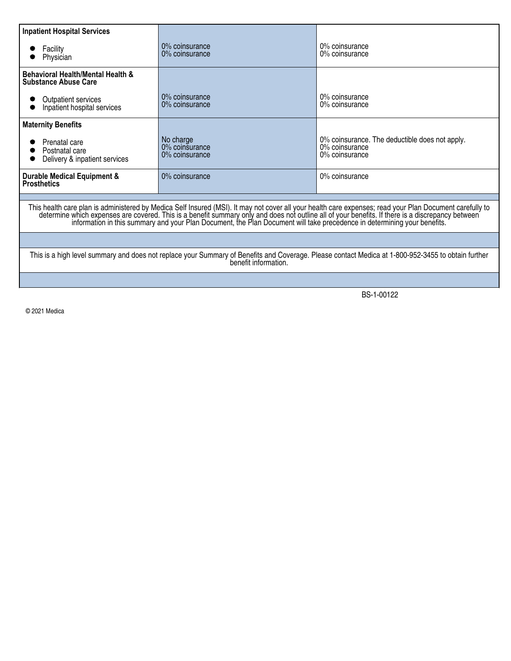| <b>Inpatient Hospital Services</b>                                                                                                                                                                                            |                                               |                                                                                    |  |
|-------------------------------------------------------------------------------------------------------------------------------------------------------------------------------------------------------------------------------|-----------------------------------------------|------------------------------------------------------------------------------------|--|
| Facility<br>Physician                                                                                                                                                                                                         | $0\%$ coinsurance<br>$0\%$ coinsurance        | 0% coinsurance<br>0% coinsurance                                                   |  |
| <b>Behavioral Health/Mental Health &amp;</b><br><b>Substance Abuse Care</b>                                                                                                                                                   |                                               |                                                                                    |  |
| Outpatient services<br>Inpatient hospital services                                                                                                                                                                            | $0\%$ coinsurance<br>0% coinsurance           | 0% coinsurance<br>0% coinsurance                                                   |  |
| <b>Maternity Benefits</b>                                                                                                                                                                                                     |                                               |                                                                                    |  |
| Prenatal care<br>Postnatal care<br>Delivery & inpatient services                                                                                                                                                              | No charge<br>0% coinsurance<br>0% coinsurance | 0% coinsurance. The deductible does not apply.<br>0% coinsurance<br>0% coinsurance |  |
| <b>Durable Medical Equipment &amp;</b><br><b>Prosthetics</b>                                                                                                                                                                  | 0% coinsurance                                | 0% coinsurance                                                                     |  |
|                                                                                                                                                                                                                               |                                               |                                                                                    |  |
| This health care plan is administered by Medica Self Insured (MSI). It may not cover all your health care expenses; read your Plan Document carefully to determine which expenses are covered. This is a benefit summary only |                                               |                                                                                    |  |
|                                                                                                                                                                                                                               |                                               |                                                                                    |  |
| This is a high level summary and does not replace your Summary of Benefits and Coverage. Please contact Medica at 1-800-952-3455 to obtain further<br>benefit information.                                                    |                                               |                                                                                    |  |
|                                                                                                                                                                                                                               |                                               |                                                                                    |  |

BS-1-00122

© 2021 Medica